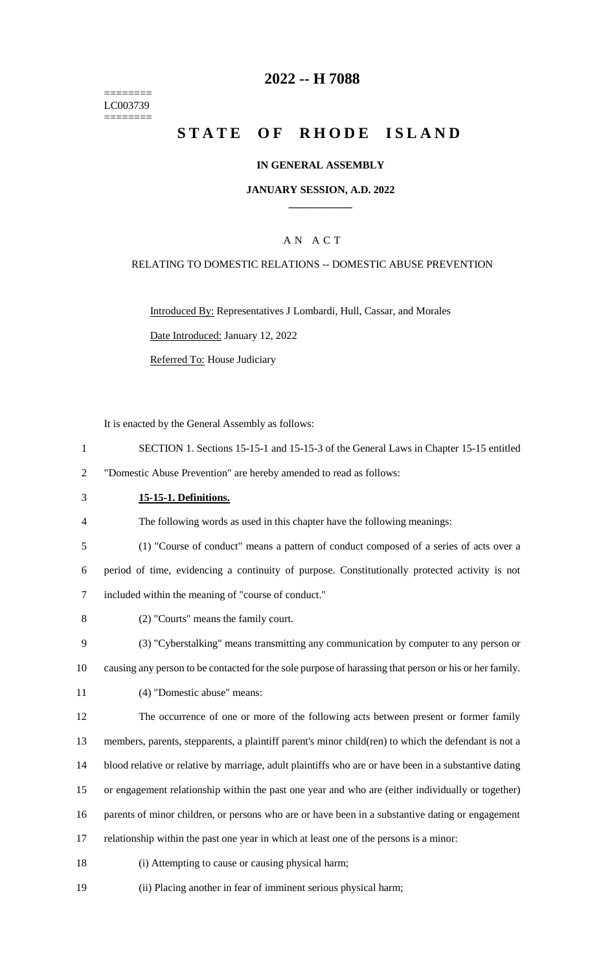======== LC003739 ========

## **-- H 7088**

# **STATE OF RHODE ISLAND**

### **IN GENERAL ASSEMBLY**

### **JANUARY SESSION, A.D. 2022 \_\_\_\_\_\_\_\_\_\_\_\_**

## A N A C T

### RELATING TO DOMESTIC RELATIONS -- DOMESTIC ABUSE PREVENTION

Introduced By: Representatives J Lombardi, Hull, Cassar, and Morales Date Introduced: January 12, 2022

Referred To: House Judiciary

It is enacted by the General Assembly as follows:

- SECTION 1. Sections 15-15-1 and 15-15-3 of the General Laws in Chapter 15-15 entitled
- "Domestic Abuse Prevention" are hereby amended to read as follows:
- **15-15-1. Definitions.**
- The following words as used in this chapter have the following meanings:
- (1) "Course of conduct" means a pattern of conduct composed of a series of acts over a

 period of time, evidencing a continuity of purpose. Constitutionally protected activity is not included within the meaning of "course of conduct."

- (2) "Courts" means the family court.
- (3) "Cyberstalking" means transmitting any communication by computer to any person or
- causing any person to be contacted for the sole purpose of harassing that person or his or her family.
- (4) "Domestic abuse" means:
- The occurrence of one or more of the following acts between present or former family

members, parents, stepparents, a plaintiff parent's minor child(ren) to which the defendant is not a

- blood relative or relative by marriage, adult plaintiffs who are or have been in a substantive dating
- or engagement relationship within the past one year and who are (either individually or together)

parents of minor children, or persons who are or have been in a substantive dating or engagement

- relationship within the past one year in which at least one of the persons is a minor:
- (i) Attempting to cause or causing physical harm;
- (ii) Placing another in fear of imminent serious physical harm;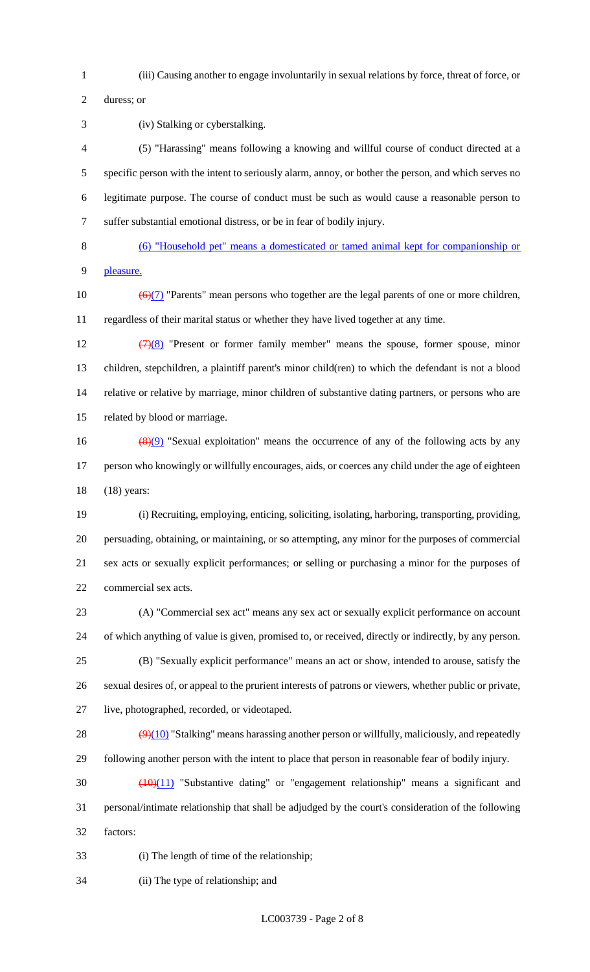(iii) Causing another to engage involuntarily in sexual relations by force, threat of force, or

duress; or

(iv) Stalking or cyberstalking.

 (5) "Harassing" means following a knowing and willful course of conduct directed at a specific person with the intent to seriously alarm, annoy, or bother the person, and which serves no legitimate purpose. The course of conduct must be such as would cause a reasonable person to suffer substantial emotional distress, or be in fear of bodily injury.

 (6) "Household pet" means a domesticated or tamed animal kept for companionship or pleasure.

10  $\left(\frac{6}{7}\right)$  "Parents" mean persons who together are the legal parents of one or more children, regardless of their marital status or whether they have lived together at any time.

 $(7)(8)$  "Present or former family member" means the spouse, former spouse, minor children, stepchildren, a plaintiff parent's minor child(ren) to which the defendant is not a blood relative or relative by marriage, minor children of substantive dating partners, or persons who are related by blood or marriage.

16  $(8)(9)$  "Sexual exploitation" means the occurrence of any of the following acts by any person who knowingly or willfully encourages, aids, or coerces any child under the age of eighteen (18) years:

 (i) Recruiting, employing, enticing, soliciting, isolating, harboring, transporting, providing, persuading, obtaining, or maintaining, or so attempting, any minor for the purposes of commercial sex acts or sexually explicit performances; or selling or purchasing a minor for the purposes of commercial sex acts.

 (A) "Commercial sex act" means any sex act or sexually explicit performance on account of which anything of value is given, promised to, or received, directly or indirectly, by any person. (B) "Sexually explicit performance" means an act or show, intended to arouse, satisfy the sexual desires of, or appeal to the prurient interests of patrons or viewers, whether public or private, live, photographed, recorded, or videotaped.

28  $(9)(10)$  "Stalking" means harassing another person or willfully, maliciously, and repeatedly following another person with the intent to place that person in reasonable fear of bodily injury.

 (10)(11) "Substantive dating" or "engagement relationship" means a significant and personal/intimate relationship that shall be adjudged by the court's consideration of the following factors:

(i) The length of time of the relationship;

(ii) The type of relationship; and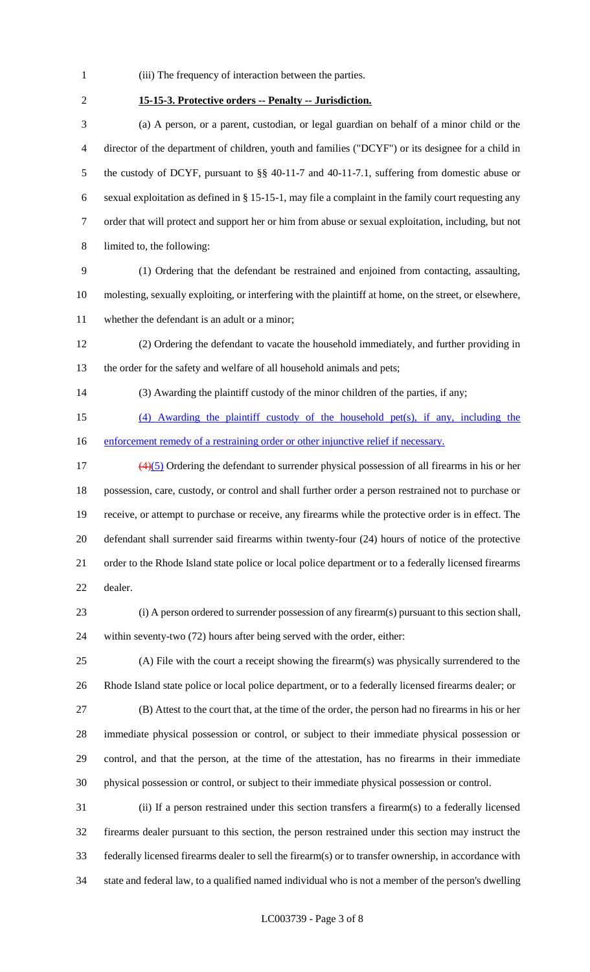- (iii) The frequency of interaction between the parties.
- 

## **15-15-3. Protective orders -- Penalty -- Jurisdiction.**

 (a) A person, or a parent, custodian, or legal guardian on behalf of a minor child or the director of the department of children, youth and families ("DCYF") or its designee for a child in the custody of DCYF, pursuant to §§ 40-11-7 and 40-11-7.1, suffering from domestic abuse or sexual exploitation as defined in § 15-15-1, may file a complaint in the family court requesting any order that will protect and support her or him from abuse or sexual exploitation, including, but not limited to, the following:

 (1) Ordering that the defendant be restrained and enjoined from contacting, assaulting, molesting, sexually exploiting, or interfering with the plaintiff at home, on the street, or elsewhere, whether the defendant is an adult or a minor;

 (2) Ordering the defendant to vacate the household immediately, and further providing in the order for the safety and welfare of all household animals and pets;

(3) Awarding the plaintiff custody of the minor children of the parties, if any;

 (4) Awarding the plaintiff custody of the household pet(s), if any, including the 16 enforcement remedy of a restraining order or other injunctive relief if necessary.

 $\left(\frac{4}{5}\right)$  Ordering the defendant to surrender physical possession of all firearms in his or her possession, care, custody, or control and shall further order a person restrained not to purchase or receive, or attempt to purchase or receive, any firearms while the protective order is in effect. The defendant shall surrender said firearms within twenty-four (24) hours of notice of the protective order to the Rhode Island state police or local police department or to a federally licensed firearms dealer.

 (i) A person ordered to surrender possession of any firearm(s) pursuant to this section shall, within seventy-two (72) hours after being served with the order, either:

 (A) File with the court a receipt showing the firearm(s) was physically surrendered to the Rhode Island state police or local police department, or to a federally licensed firearms dealer; or

 (B) Attest to the court that, at the time of the order, the person had no firearms in his or her immediate physical possession or control, or subject to their immediate physical possession or control, and that the person, at the time of the attestation, has no firearms in their immediate physical possession or control, or subject to their immediate physical possession or control.

 (ii) If a person restrained under this section transfers a firearm(s) to a federally licensed firearms dealer pursuant to this section, the person restrained under this section may instruct the federally licensed firearms dealer to sell the firearm(s) or to transfer ownership, in accordance with state and federal law, to a qualified named individual who is not a member of the person's dwelling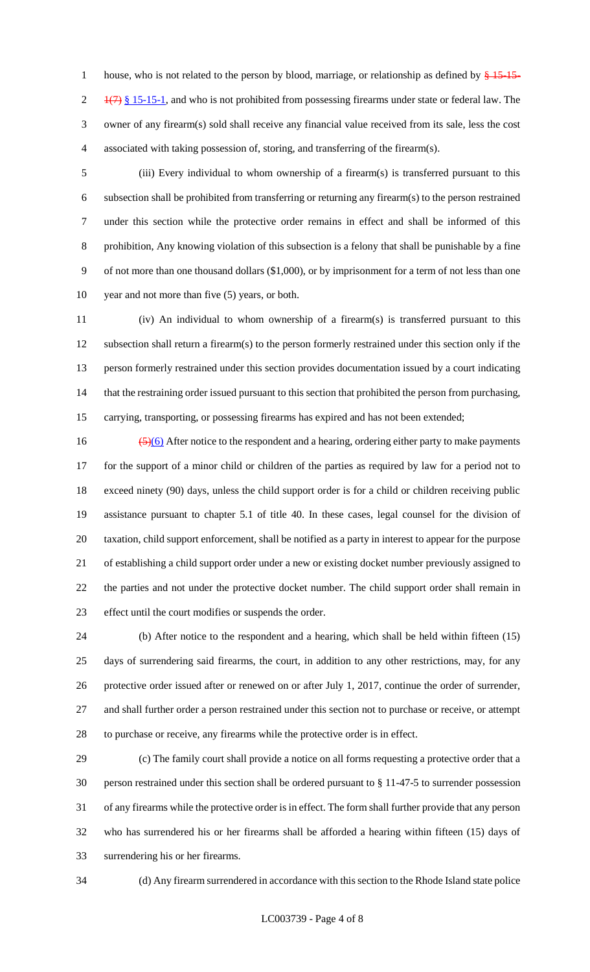1 house, who is not related to the person by blood, marriage, or relationship as defined by  $\frac{15}{15}$ -15- $\frac{1}{7}$   $\frac{1}{7}$  § 15-15-1, and who is not prohibited from possessing firearms under state or federal law. The owner of any firearm(s) sold shall receive any financial value received from its sale, less the cost associated with taking possession of, storing, and transferring of the firearm(s).

 (iii) Every individual to whom ownership of a firearm(s) is transferred pursuant to this subsection shall be prohibited from transferring or returning any firearm(s) to the person restrained under this section while the protective order remains in effect and shall be informed of this prohibition, Any knowing violation of this subsection is a felony that shall be punishable by a fine of not more than one thousand dollars (\$1,000), or by imprisonment for a term of not less than one year and not more than five (5) years, or both.

 (iv) An individual to whom ownership of a firearm(s) is transferred pursuant to this subsection shall return a firearm(s) to the person formerly restrained under this section only if the person formerly restrained under this section provides documentation issued by a court indicating 14 that the restraining order issued pursuant to this section that prohibited the person from purchasing, carrying, transporting, or possessing firearms has expired and has not been extended;

 $\frac{(5)(6)}{2}$  After notice to the respondent and a hearing, ordering either party to make payments for the support of a minor child or children of the parties as required by law for a period not to exceed ninety (90) days, unless the child support order is for a child or children receiving public assistance pursuant to chapter 5.1 of title 40. In these cases, legal counsel for the division of taxation, child support enforcement, shall be notified as a party in interest to appear for the purpose of establishing a child support order under a new or existing docket number previously assigned to the parties and not under the protective docket number. The child support order shall remain in effect until the court modifies or suspends the order.

 (b) After notice to the respondent and a hearing, which shall be held within fifteen (15) days of surrendering said firearms, the court, in addition to any other restrictions, may, for any protective order issued after or renewed on or after July 1, 2017, continue the order of surrender, and shall further order a person restrained under this section not to purchase or receive, or attempt to purchase or receive, any firearms while the protective order is in effect.

 (c) The family court shall provide a notice on all forms requesting a protective order that a person restrained under this section shall be ordered pursuant to § 11-47-5 to surrender possession of any firearms while the protective order is in effect. The form shall further provide that any person who has surrendered his or her firearms shall be afforded a hearing within fifteen (15) days of surrendering his or her firearms.

(d) Any firearm surrendered in accordance with this section to the Rhode Island state police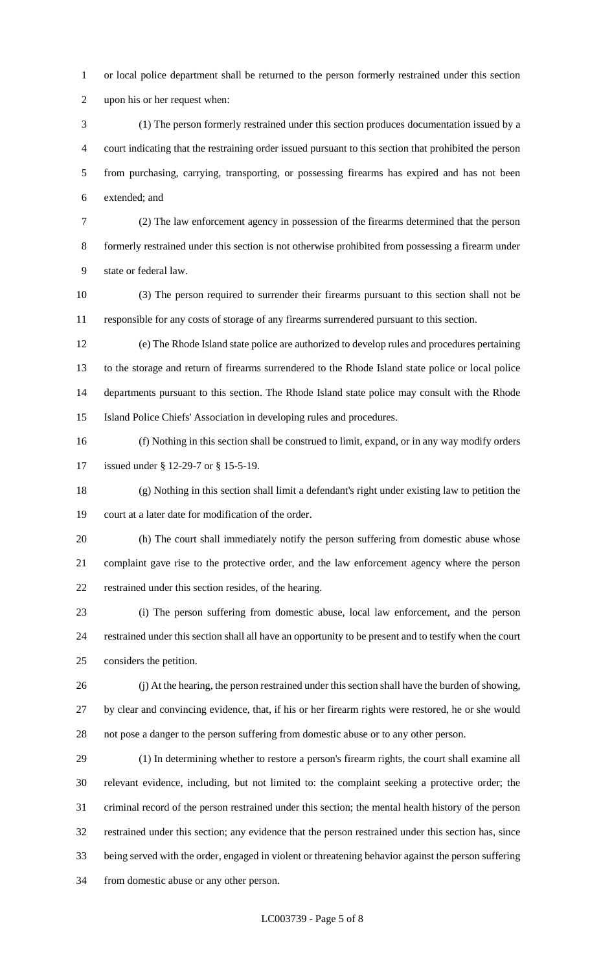or local police department shall be returned to the person formerly restrained under this section upon his or her request when:

 (1) The person formerly restrained under this section produces documentation issued by a court indicating that the restraining order issued pursuant to this section that prohibited the person from purchasing, carrying, transporting, or possessing firearms has expired and has not been extended; and

 (2) The law enforcement agency in possession of the firearms determined that the person formerly restrained under this section is not otherwise prohibited from possessing a firearm under state or federal law.

 (3) The person required to surrender their firearms pursuant to this section shall not be responsible for any costs of storage of any firearms surrendered pursuant to this section.

 (e) The Rhode Island state police are authorized to develop rules and procedures pertaining to the storage and return of firearms surrendered to the Rhode Island state police or local police departments pursuant to this section. The Rhode Island state police may consult with the Rhode Island Police Chiefs' Association in developing rules and procedures.

 (f) Nothing in this section shall be construed to limit, expand, or in any way modify orders issued under § 12-29-7 or § 15-5-19.

 (g) Nothing in this section shall limit a defendant's right under existing law to petition the court at a later date for modification of the order.

 (h) The court shall immediately notify the person suffering from domestic abuse whose complaint gave rise to the protective order, and the law enforcement agency where the person restrained under this section resides, of the hearing.

 (i) The person suffering from domestic abuse, local law enforcement, and the person restrained under this section shall all have an opportunity to be present and to testify when the court considers the petition.

 (j) At the hearing, the person restrained under this section shall have the burden of showing, by clear and convincing evidence, that, if his or her firearm rights were restored, he or she would not pose a danger to the person suffering from domestic abuse or to any other person.

 (1) In determining whether to restore a person's firearm rights, the court shall examine all relevant evidence, including, but not limited to: the complaint seeking a protective order; the criminal record of the person restrained under this section; the mental health history of the person restrained under this section; any evidence that the person restrained under this section has, since being served with the order, engaged in violent or threatening behavior against the person suffering from domestic abuse or any other person.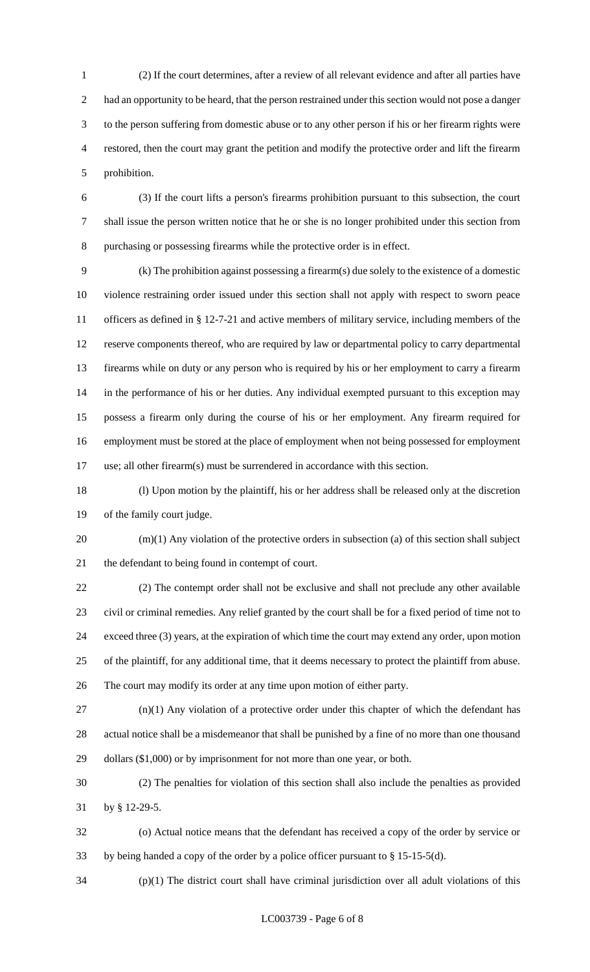(2) If the court determines, after a review of all relevant evidence and after all parties have had an opportunity to be heard, that the person restrained under this section would not pose a danger to the person suffering from domestic abuse or to any other person if his or her firearm rights were restored, then the court may grant the petition and modify the protective order and lift the firearm prohibition.

 (3) If the court lifts a person's firearms prohibition pursuant to this subsection, the court shall issue the person written notice that he or she is no longer prohibited under this section from purchasing or possessing firearms while the protective order is in effect.

 (k) The prohibition against possessing a firearm(s) due solely to the existence of a domestic violence restraining order issued under this section shall not apply with respect to sworn peace officers as defined in § 12-7-21 and active members of military service, including members of the reserve components thereof, who are required by law or departmental policy to carry departmental firearms while on duty or any person who is required by his or her employment to carry a firearm in the performance of his or her duties. Any individual exempted pursuant to this exception may possess a firearm only during the course of his or her employment. Any firearm required for employment must be stored at the place of employment when not being possessed for employment use; all other firearm(s) must be surrendered in accordance with this section.

 (l) Upon motion by the plaintiff, his or her address shall be released only at the discretion of the family court judge.

 (m)(1) Any violation of the protective orders in subsection (a) of this section shall subject the defendant to being found in contempt of court.

 (2) The contempt order shall not be exclusive and shall not preclude any other available civil or criminal remedies. Any relief granted by the court shall be for a fixed period of time not to exceed three (3) years, at the expiration of which time the court may extend any order, upon motion of the plaintiff, for any additional time, that it deems necessary to protect the plaintiff from abuse. The court may modify its order at any time upon motion of either party.

 (n)(1) Any violation of a protective order under this chapter of which the defendant has actual notice shall be a misdemeanor that shall be punished by a fine of no more than one thousand dollars (\$1,000) or by imprisonment for not more than one year, or both.

 (2) The penalties for violation of this section shall also include the penalties as provided by § 12-29-5.

 (o) Actual notice means that the defendant has received a copy of the order by service or by being handed a copy of the order by a police officer pursuant to § 15-15-5(d).

(p)(1) The district court shall have criminal jurisdiction over all adult violations of this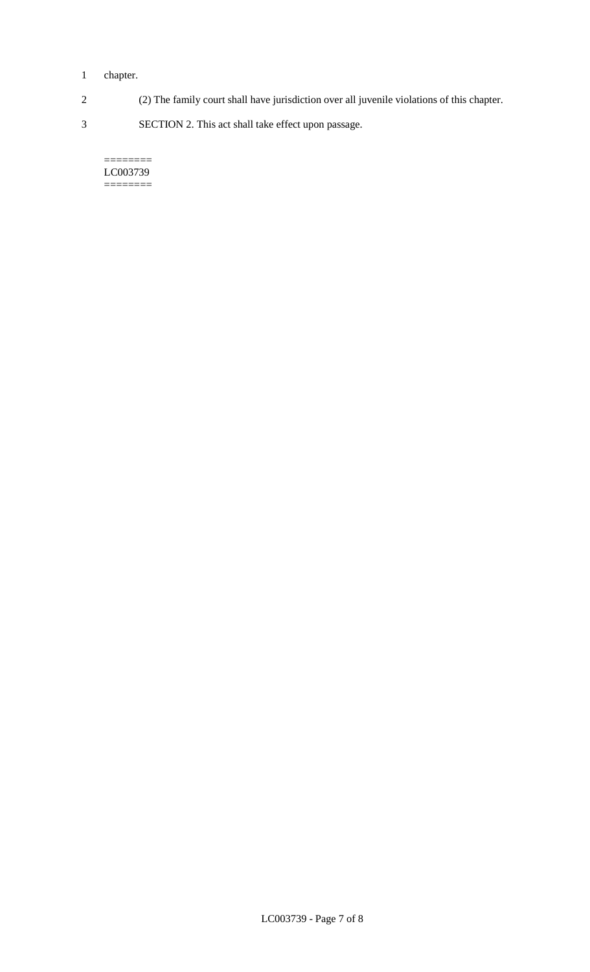## 1 chapter.

2 (2) The family court shall have jurisdiction over all juvenile violations of this chapter.

3 SECTION 2. This act shall take effect upon passage.

#### $=$ LC003739 ========